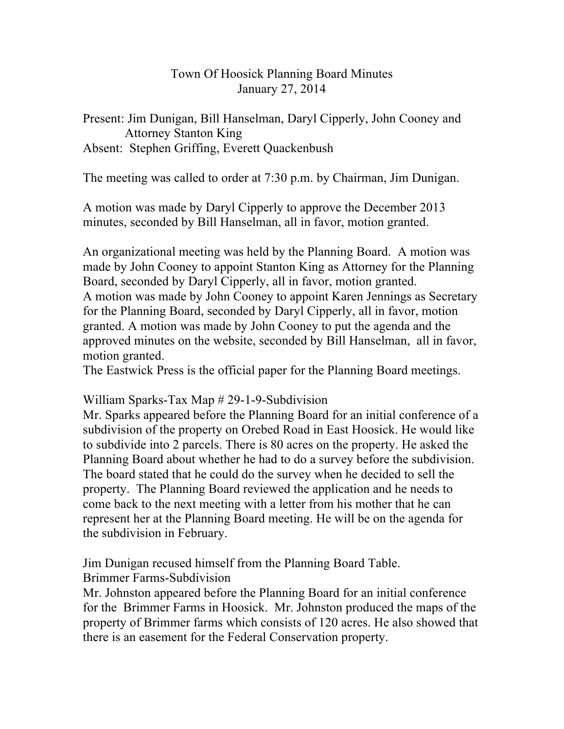## Town Of Hoosick Planning Board Minutes January 27, 2014

## Present: Jim Dunigan, Bill Hanselman, Daryl Cipperly, John Cooney and Attorney Stanton King Absent: Stephen Griffing, Everett Quackenbush

The meeting was called to order at 7:30 p.m. by Chairman, Jim Dunigan.

A motion was made by Daryl Cipperly to approve the December 2013 minutes, seconded by Bill Hanselman, all in favor, motion granted.

An organizational meeting was held by the Planning Board. A motion was made by John Cooney to appoint Stanton King as Attorney for the Planning Board, seconded by Daryl Cipperly, all in favor, motion granted. A motion was made by John Cooney to appoint Karen Jennings as Secretary for the Planning Board, seconded by Daryl Cipperly, all in favor, motion granted. A motion was made by John Cooney to put the agenda and the approved minutes on the website, seconded by Bill Hanselman, all in favor, motion granted.

The Eastwick Press is the official paper for the Planning Board meetings.

## William Sparks-Tax Map # 29-1-9-Subdivision

Mr. Sparks appeared before the Planning Board for an initial conference of a subdivision of the property on Orebed Road in East Hoosick. He would like to subdivide into 2 parcels. There is 80 acres on the property. He asked the Planning Board about whether he had to do a survey before the subdivision. The board stated that he could do the survey when he decided to sell the property. The Planning Board reviewed the application and he needs to come back to the next meeting with a letter from his mother that he can represent her at the Planning Board meeting. He will be on the agenda for the subdivision in February.

Jim Dunigan recused himself from the Planning Board Table. Brimmer Farms-Subdivision

Mr. Johnston appeared before the Planning Board for an initial conference for the Brimmer Farms in Hoosick. Mr. Johnston produced the maps of the property of Brimmer farms which consists of 120 acres. He also showed that there is an easement for the Federal Conservation property.